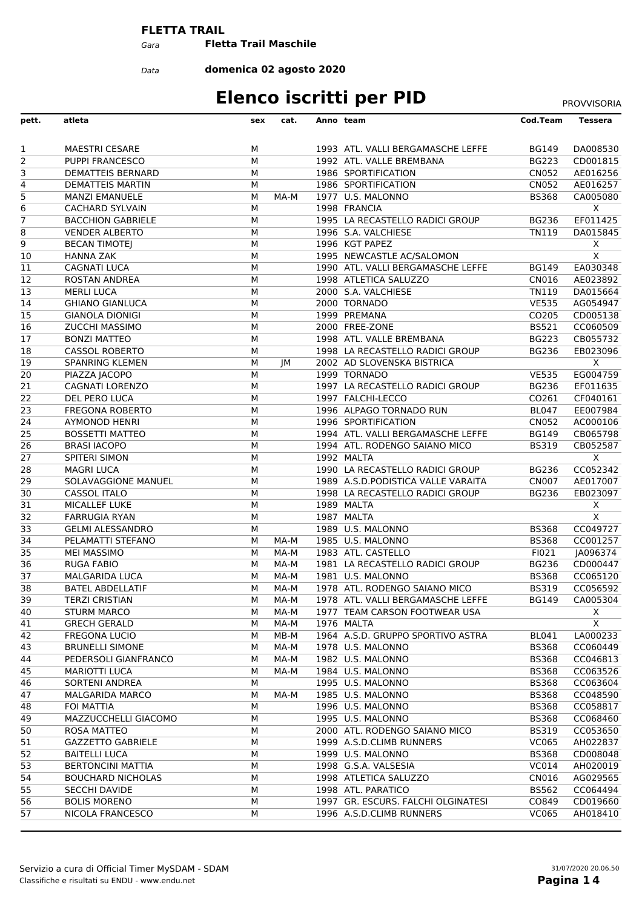#### **FLETTA TRAIL**

*Gara* **Fletta Trail Maschile**

*Data*

**domenica 02 agosto 2020**

## **Elenco iscritti per PID** PROVVISORIA

| pett.           | atleta                                           | sex    | cat. | Anno team                                 | Cod.Team                     | Tessera                 |
|-----------------|--------------------------------------------------|--------|------|-------------------------------------------|------------------------------|-------------------------|
|                 |                                                  |        |      |                                           |                              |                         |
| 1               | <b>MAESTRI CESARE</b>                            | М      |      | 1993 ATL. VALLI BERGAMASCHE LEFFE         | <b>BG149</b>                 | DA008530                |
| $\overline{2}$  | <b>PUPPI FRANCESCO</b>                           | M      |      | 1992 ATL. VALLE BREMBANA                  | <b>BG223</b>                 | CD001815                |
| 3               | <b>DEMATTEIS BERNARD</b>                         | M      |      | 1986 SPORTIFICATION                       | <b>CN052</b>                 | AE016256                |
| 4               | <b>DEMATTEIS MARTIN</b>                          | M      |      | 1986 SPORTIFICATION                       | <b>CN052</b>                 | AE016257                |
| 5               | <b>MANZI EMANUELE</b>                            | M      | MA-M | 1977 U.S. MALONNO                         | <b>BS368</b>                 | CA005080                |
| 6               | <b>CACHARD SYLVAIN</b>                           | M      |      | 1998 FRANCIA                              |                              | $\overline{X}$          |
| $\overline{7}$  | <b>BACCHION GABRIELE</b>                         | M      |      | 1995 LA RECASTELLO RADICI GROUP           | <b>BG236</b>                 | EF011425                |
| 8               | <b>VENDER ALBERTO</b>                            | M      |      | 1996 S.A. VALCHIESE                       | <b>TN119</b>                 | DA015845                |
| 9               | <b>BECAN TIMOTEJ</b>                             | M      |      | 1996 KGT PAPEZ                            |                              | X                       |
| 10              | <b>HANNA ZAK</b>                                 | M      |      | 1995 NEWCASTLE AC/SALOMON                 |                              | $\overline{\mathsf{x}}$ |
| 11              | <b>CAGNATI LUCA</b>                              | M      |      | 1990 ATL. VALLI BERGAMASCHE LEFFE         | <b>BG149</b>                 | EA030348                |
| 12              | <b>ROSTAN ANDREA</b>                             | M      |      | 1998 ATLETICA SALUZZO                     | CN016                        | AE023892                |
| 13              | <b>MERLI LUCA</b>                                | M      |      | 2000 S.A. VALCHIESE                       | <b>TN119</b>                 | DA015664                |
| 14              | <b>GHIANO GIANLUCA</b>                           | M      |      | 2000 TORNADO                              | <b>VE535</b>                 | AG054947                |
| 15<br>16        | <b>GIANOLA DIONIGI</b><br>ZUCCHI MASSIMO         | M<br>M |      | 1999 PREMANA<br>2000 FREE-ZONE            | CO205<br><b>BS521</b>        | CD005138<br>CC060509    |
| 17              | <b>BONZI MATTEO</b>                              | М      |      | 1998 ATL. VALLE BREMBANA                  | <b>BG223</b>                 | CB055732                |
| 18              | <b>CASSOL ROBERTO</b>                            | M      |      | 1998 LA RECASTELLO RADICI GROUP           | <b>BG236</b>                 | EB023096                |
| 19              | <b>SPANRING KLEMEN</b>                           | M      | JΜ   | 2002 AD SLOVENSKA BISTRICA                |                              | $\overline{\mathsf{X}}$ |
| 20              | PIAZZA JACOPO                                    | M      |      | 1999 TORNADO                              | <b>VE535</b>                 | EG004759                |
| 21              | CAGNATI LORENZO                                  | M      |      | 1997 LA RECASTELLO RADICI GROUP           | <b>BG236</b>                 | EF011635                |
| $\overline{22}$ | DEL PERO LUCA                                    | M      |      | 1997 FALCHI-LECCO                         | CO261                        | CF040161                |
| 23              | <b>FREGONA ROBERTO</b>                           | M      |      | 1996 ALPAGO TORNADO RUN                   | <b>BL047</b>                 | EE007984                |
| 24              | <b>AYMONOD HENRI</b>                             | M      |      | 1996 SPORTIFICATION                       | <b>CN052</b>                 | AC000106                |
| 25              | <b>BOSSETTI MATTEO</b>                           | M      |      | 1994 ATL. VALLI BERGAMASCHE LEFFE         | <b>BG149</b>                 | CB065798                |
| 26              | <b>BRASI IACOPO</b>                              | M      |      | 1994 ATL. RODENGO SAIANO MICO             | <b>BS319</b>                 | CB052587                |
| 27              | <b>SPITERI SIMON</b>                             | M      |      | 1992 MALTA                                |                              | X                       |
| 28              | <b>MAGRI LUCA</b>                                | M      |      | 1990 LA RECASTELLO RADICI GROUP           | <b>BG236</b>                 | CC052342                |
| 29              | SOLAVAGGIONE MANUEL                              | M      |      | 1989 A.S.D.PODISTICA VALLE VARAITA        | <b>CN007</b>                 | AE017007                |
| 30              | CASSOL ITALO                                     | M      |      | 1998 LA RECASTELLO RADICI GROUP           | <b>BG236</b>                 | EB023097                |
| 31              | MICALLEF LUKE                                    | M      |      | 1989 MALTA                                |                              | X                       |
| 32              | <b>FARRUGIA RYAN</b>                             | M      |      | 1987 MALTA                                |                              | X                       |
| 33              | <b>GELMI ALESSANDRO</b>                          | M      |      | 1989 U.S. MALONNO                         | <b>BS368</b>                 | CC049727                |
| 34              | PELAMATTI STEFANO                                | м      | MA-M | 1985 U.S. MALONNO                         | <b>BS368</b>                 | CC001257                |
| 35              | <b>MEI MASSIMO</b>                               | М      | MA-M | 1983 ATL. CASTELLO                        | F1021                        | JA096374                |
| 36              | <b>RUGA FABIO</b>                                | M      | MA-M | 1981 LA RECASTELLO RADICI GROUP           | <b>BG236</b>                 | CD000447                |
| 37              | <b>MALGARIDA LUCA</b>                            | м      | MA-M | 1981 U.S. MALONNO                         | <b>BS368</b>                 | CC065120                |
| 38              | <b>BATEL ABDELLATIF</b>                          | M      | MA-M | 1978 ATL. RODENGO SAIANO MICO             | <b>BS319</b>                 | CC056592                |
| 39              | <b>TERZI CRISTIAN</b>                            | М      | MA-M | 1978 ATL. VALLI BERGAMASCHE LEFFE         | <b>BG149</b>                 | CA005304                |
| 40              | <b>STURM MARCO</b>                               | м      | MA-M | 1977 TEAM CARSON FOOTWEAR USA             |                              | X                       |
| 41              | <b>GRECH GERALD</b>                              | м      | MA-M | 1976 MALTA                                |                              | X                       |
| 42              | <b>FREGONA LUCIO</b>                             | м      | MB-M | 1964 A.S.D. GRUPPO SPORTIVO ASTRA         | <b>BL041</b>                 | LA000233                |
| 43              | <b>BRUNELLI SIMONE</b>                           | м      | MA-M | 1978 U.S. MALONNO                         | <b>BS368</b>                 | CC060449                |
| 44              | PEDERSOLI GIANFRANCO                             | м      | MA-M | 1982 U.S. MALONNO                         | <b>BS368</b>                 | CC046813                |
| 45              | <b>MARIOTTI LUCA</b>                             | м      | MA-M | 1984 U.S. MALONNO                         | <b>BS368</b>                 | CC063526                |
| 46              | SORTENI ANDREA                                   | м      |      | 1995 U.S. MALONNO                         | <b>BS368</b>                 | CC063604                |
| 47              | <b>MALGARIDA MARCO</b>                           | м      | MA-M | 1985 U.S. MALONNO                         | <b>BS368</b>                 | CC048590                |
| 48              | <b>FOI MATTIA</b>                                | м      |      | 1996 U.S. MALONNO                         | <b>BS368</b>                 | CC058817                |
| 49              | MAZZUCCHELLI GIACOMO                             | м      |      | 1995 U.S. MALONNO                         | <b>BS368</b>                 | CC068460                |
| 50              | <b>ROSA MATTEO</b>                               | м      |      | 2000 ATL. RODENGO SAIANO MICO             | <b>BS319</b>                 | CC053650                |
| 51              | <b>GAZZETTO GABRIELE</b>                         | M      |      | 1999 A.S.D.CLIMB RUNNERS                  | VC065                        | AH022837                |
| 52<br>53        | <b>BAITELLI LUCA</b><br><b>BERTONCINI MATTIA</b> | м<br>M |      | 1999 U.S. MALONNO<br>1998 G.S.A. VALSESIA | <b>BS368</b><br><b>VC014</b> | CD008048                |
| 54              | <b>BOUCHARD NICHOLAS</b>                         | M      |      | 1998 ATLETICA SALUZZO                     | CN016                        | AH020019<br>AG029565    |
| 55              | SECCHI DAVIDE                                    | м      |      | 1998 ATL. PARATICO                        | <b>BS562</b>                 | CC064494                |
| 56              | <b>BOLIS MORENO</b>                              | м      |      | 1997 GR. ESCURS. FALCHI OLGINATESI        | CO849                        | CD019660                |
| 57              | NICOLA FRANCESCO                                 | М      |      | 1996 A.S.D.CLIMB RUNNERS                  | VC065                        | AH018410                |
|                 |                                                  |        |      |                                           |                              |                         |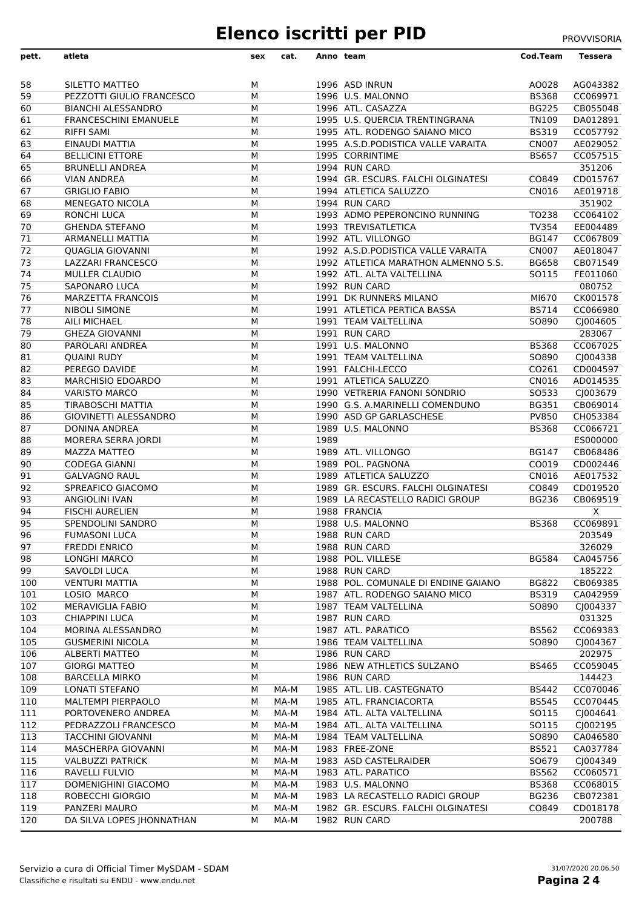# **Elenco iscritti per PID** PROVVISORIA

| pett.                 | atleta                                           | sex    | cat. |      | Anno team                                      | <b>Cod.Team</b> | <b>Tessera</b>       |
|-----------------------|--------------------------------------------------|--------|------|------|------------------------------------------------|-----------------|----------------------|
|                       |                                                  |        |      |      |                                                |                 |                      |
| 58                    | SILETTO MATTEO                                   | м      |      |      | 1996 ASD INRUN                                 | AO028           | AG043382             |
| 59                    | PEZZOTTI GIULIO FRANCESCO                        | М      |      |      | 1996 U.S. MALONNO                              | <b>BS368</b>    | CC069971             |
| 60                    | <b>BIANCHI ALESSANDRO</b>                        | М      |      |      | 1996 ATL. CASAZZA                              | <b>BG225</b>    | CB055048             |
| 61                    | <b>FRANCESCHINI EMANUELE</b>                     | м      |      |      | 1995 U.S. QUERCIA TRENTINGRANA                 | <b>TN109</b>    | DA012891             |
| 62                    | <b>RIFFI SAMI</b>                                | м      |      |      | 1995 ATL. RODENGO SAIANO MICO                  | <b>BS319</b>    | CC057792             |
| 63                    | EINAUDI MATTIA                                   | М      |      |      | 1995 A.S.D. PODISTICA VALLE VARAITA            | <b>CN007</b>    | AE029052             |
| 64                    | <b>BELLICINI ETTORE</b>                          | м      |      |      | 1995 CORRINTIME                                | <b>BS657</b>    | CC057515             |
| 65                    | <b>BRUNELLI ANDREA</b>                           | М      |      |      | 1994 RUN CARD                                  |                 | 351206               |
| 66                    | <b>VIAN ANDREA</b>                               | м      |      |      | 1994 GR. ESCURS. FALCHI OLGINATESI             | CO849           | CD015767             |
| 67                    | <b>GRIGLIO FABIO</b>                             | м      |      |      | 1994 ATLETICA SALUZZO                          | CN016           | AE019718             |
| 68<br>69              | <b>MENEGATO NICOLA</b><br>RONCHI LUCA            | м<br>М |      |      | 1994 RUN CARD<br>1993 ADMO PEPERONCINO RUNNING | TO238           | 351902<br>CC064102   |
| $\overline{70}$       | <b>GHENDA STEFANO</b>                            | м      |      |      | 1993 TREVISATLETICA                            | TV354           | EE004489             |
| $\overline{71}$       | <b>ARMANELLI MATTIA</b>                          | м      |      |      | 1992 ATL. VILLONGO                             | <b>BG147</b>    | CC067809             |
| 72                    | <b>QUAGLIA GIOVANNI</b>                          | м      |      |      | 1992 A.S.D.PODISTICA VALLE VARAITA             | <b>CN007</b>    | AE018047             |
| $\overline{73}$       | LAZZARI FRANCESCO                                | м      |      |      | 1992 ATLETICA MARATHON ALMENNO S.S.            | <b>BG658</b>    | CB071549             |
| $\overline{74}$       | <b>MULLER CLAUDIO</b>                            | м      |      |      | 1992 ATL. ALTA VALTELLINA                      | SO115           | FE011060             |
| 75                    | <b>SAPONARO LUCA</b>                             | м      |      |      | 1992 RUN CARD                                  |                 | 080752               |
| $\overline{76}$       | <b>MARZETTA FRANCOIS</b>                         | м      |      |      | 1991 DK RUNNERS MILANO                         | MI670           | CK001578             |
| $\overline{77}$       | <b>NIBOLI SIMONE</b>                             | м      |      |      | 1991 ATLETICA PERTICA BASSA                    | <b>BS714</b>    | CC066980             |
| 78                    | AILI MICHAEL                                     | м      |      |      | 1991 TEAM VALTELLINA                           | SO890           | CJ004605             |
| $\overline{79}$       | <b>GHEZA GIOVANNI</b>                            | М      |      |      | 1991 RUN CARD                                  |                 | 283067               |
| 80                    | PAROLARI ANDREA                                  | м      |      |      | 1991 U.S. MALONNO                              | <b>BS368</b>    | CC067025             |
| 81                    | <b>QUAINI RUDY</b>                               | м      |      |      | 1991 TEAM VALTELLINA                           | SO890           | CJ004338             |
| $\overline{82}$       | PEREGO DAVIDE                                    | м      |      |      | 1991 FALCHI-LECCO                              | CO261           | CD004597             |
| 83                    | MARCHISIO EDOARDO                                | м      |      |      | 1991 ATLETICA SALUZZO                          | CN016           | AD014535             |
| 84                    | <b>VARISTO MARCO</b>                             | м      |      |      | 1990 VETRERIA FANONI SONDRIO                   | SO533           | CJ003679             |
| 85                    | <b>TIRABOSCHI MATTIA</b>                         | м      |      |      | 1990 G.S. A.MARINELLI COMENDUNO                | <b>BG351</b>    | CB069014             |
| 86                    | GIOVINETTI ALESSANDRO                            | м      |      |      | 1990 ASD GP GARLASCHESE                        | PV850           | CH053384             |
| 87<br>$\overline{88}$ | <b>DONINA ANDREA</b><br>MORERA SERRA JORDI       | м<br>м |      | 1989 | 1989 U.S. MALONNO                              | <b>BS368</b>    | CC066721<br>ES000000 |
| 89                    | <b>MAZZA MATTEO</b>                              | М      |      |      | 1989 ATL. VILLONGO                             | <b>BG147</b>    | CB068486             |
| 90                    | <b>CODEGA GIANNI</b>                             | м      |      |      | 1989 POL. PAGNONA                              | CO019           | CD002446             |
| 91                    | <b>GALVAGNO RAUL</b>                             | м      |      |      | 1989 ATLETICA SALUZZO                          | CN016           | AE017532             |
| 92                    | SPREAFICO GIACOMO                                | м      |      |      | 1989 GR. ESCURS. FALCHI OLGINATESI             | CO849           | CD019520             |
| 93                    | ANGIOLINI IVAN                                   | м      |      |      | 1989 LA RECASTELLO RADICI GROUP                | <b>BG236</b>    | CB069519             |
| 94                    | <b>FISCHI AURELIEN</b>                           | м      |      |      | 1988 FRANCIA                                   |                 | Χ                    |
| 95                    | SPENDOLINI SANDRO                                | М      |      |      | 1988 U.S. MALONNO                              | <b>BS368</b>    | CC069891             |
| 96                    | <b>FUMASONI LUCA</b>                             | м      |      |      | 1988 RUN CARD                                  |                 | 203549               |
| 97                    | <b>FREDDI ENRICO</b>                             | м      |      |      | 1988 RUN CARD                                  |                 | 326029               |
| 98                    | LONGHI MARCO                                     | м      |      |      | 1988 POL. VILLESE                              | <b>BG584</b>    | CA045756             |
| 99                    | SAVOLDI LUCA                                     | М      |      |      | 1988 RUN CARD                                  |                 | 185222               |
| 100                   | <b>VENTURI MATTIA</b>                            | м      |      |      | 1988 POL. COMUNALE DI ENDINE GAIANO            | <b>BG822</b>    | CB069385             |
| 101                   | LOSIO MARCO                                      | М      |      |      | 1987 ATL. RODENGO SAIANO MICO                  | <b>BS319</b>    | CA042959             |
| 102                   | MERAVIGLIA FABIO                                 | М      |      |      | 1987 TEAM VALTELLINA                           | SO890           | CJ004337             |
| 103                   | <b>CHIAPPINI LUCA</b>                            | м      |      |      | 1987 RUN CARD                                  |                 | 031325               |
| 104                   | MORINA ALESSANDRO                                | м      |      |      | 1987 ATL. PARATICO<br>1986 TEAM VALTELLINA     | <b>BS562</b>    | CC069383             |
| 105<br>106            | <b>GUSMERINI NICOLA</b><br><b>ALBERTI MATTEO</b> | М<br>м |      |      | 1986 RUN CARD                                  | SO890           | CJ004367<br>202975   |
| 107                   | <b>GIORGI MATTEO</b>                             | М      |      |      | 1986 NEW ATHLETICS SULZANO                     | <b>BS465</b>    | CC059045             |
| 108                   | <b>BARCELLA MIRKO</b>                            | М      |      |      | 1986 RUN CARD                                  |                 | 144423               |
| 109                   | LONATI STEFANO                                   | м      | MA-M |      | 1985 ATL. LIB. CASTEGNATO                      | <b>BS442</b>    | CC070046             |
| 110                   | MALTEMPI PIERPAOLO                               | м      | MA-M |      | 1985 ATL. FRANCIACORTA                         | <b>BS545</b>    | CC070445             |
| 111                   | PORTOVENERO ANDREA                               | м      | MA-M |      | 1984 ATL. ALTA VALTELLINA                      | SO115           | CJ004641             |
| 112                   | PEDRAZZOLI FRANCESCO                             | м      | MA-M |      | 1984 ATL. ALTA VALTELLINA                      | SO115           | CJ002195             |
| 113                   | <b>TACCHINI GIOVANNI</b>                         | м      | MA-M |      | 1984 TEAM VALTELLINA                           | SO890           | CA046580             |
| 114                   | MASCHERPA GIOVANNI                               | м      | MA-M |      | 1983 FREE-ZONE                                 | <b>BS521</b>    | CA037784             |
| 115                   | <b>VALBUZZI PATRICK</b>                          | м      | MA-M |      | 1983 ASD CASTELRAIDER                          | SO679           | CJ004349             |
| 116                   | RAVELLI FULVIO                                   | м      | MA-M |      | 1983 ATL. PARATICO                             | <b>BS562</b>    | CC060571             |
| 117                   | DOMENIGHINI GIACOMO                              | М      | MA-M |      | 1983 U.S. MALONNO                              | <b>BS368</b>    | CC068015             |
| 118                   | ROBECCHI GIORGIO                                 | М      | MA-M |      | 1983 LA RECASTELLO RADICI GROUP                | <b>BG236</b>    | CB072381             |
| 119                   | PANZERI MAURO                                    | м      | MA-M |      | 1982 GR. ESCURS. FALCHI OLGINATESI             | CO849           | CD018178             |
| $\overline{120}$      | DA SILVA LOPES JHONNATHAN                        | м      | MA-M |      | 1982 RUN CARD                                  |                 | 200788               |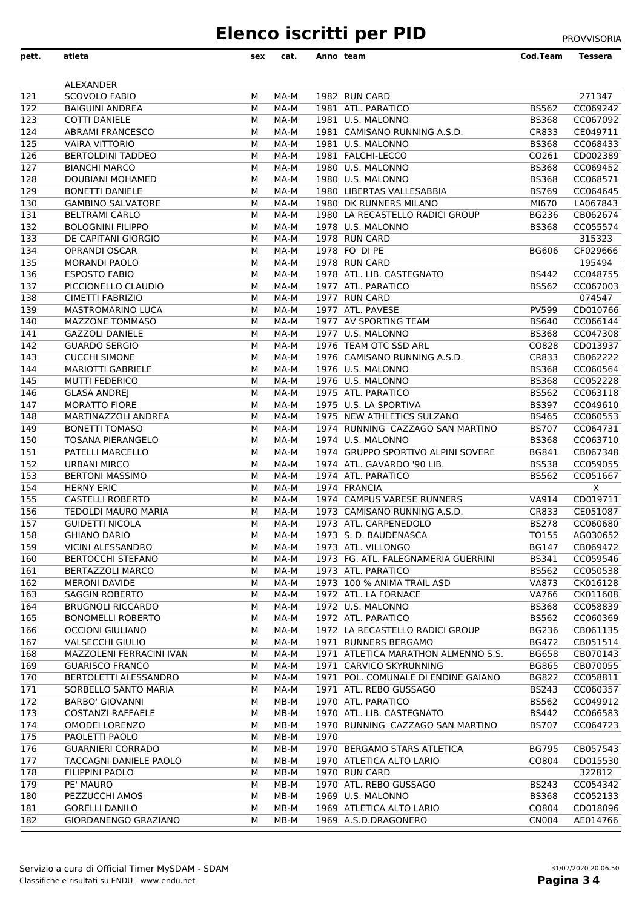## **Elenco iscritti per PID** PROVVISORIA

| pett.            | atleta                                             | sex    | cat.         |      | Anno team                                                      | Cod.Team                     | Tessera              |
|------------------|----------------------------------------------------|--------|--------------|------|----------------------------------------------------------------|------------------------------|----------------------|
|                  | ALEXANDER                                          |        |              |      |                                                                |                              |                      |
| 121              | <b>SCOVOLO FABIO</b>                               | м      | MA-M         |      | 1982 RUN CARD                                                  |                              | 271347               |
| 122              | <b>BAIGUINI ANDREA</b>                             | М      | MA-M         |      | 1981 ATL. PARATICO                                             | <b>BS562</b>                 | CC069242             |
| 123              | <b>COTTI DANIELE</b>                               | м      | MA-M         |      | 1981 U.S. MALONNO                                              | <b>BS368</b>                 | CC067092             |
| 124              | <b>ABRAMI FRANCESCO</b>                            | М      | MA-M         |      | 1981 CAMISANO RUNNING A.S.D.                                   | CR833                        | CE049711             |
| $\overline{125}$ | <b>VAIRA VITTORIO</b>                              | М      | MA-M         |      | 1981 U.S. MALONNO                                              | <b>BS368</b>                 | CC068433             |
| 126              | <b>BERTOLDINI TADDEO</b>                           | м      | MA-M         |      | 1981 FALCHI-LECCO                                              | CO261                        | CD002389             |
| 127              | <b>BIANCHI MARCO</b>                               | м      | MA-M         |      | 1980 U.S. MALONNO                                              | <b>BS368</b>                 | CC069452             |
| 128              | DOUBIANI MOHAMED                                   | М      | MA-M         |      | 1980 U.S. MALONNO<br>1980 LIBERTAS VALLESABBIA                 | <b>BS368</b><br><b>BS769</b> | CC068571<br>CC064645 |
| 129<br>130       | <b>BONETTI DANIELE</b><br><b>GAMBINO SALVATORE</b> | м<br>м | MA-M<br>MA-M |      | 1980 DK RUNNERS MILANO                                         | MI670                        | LA067843             |
| 131              | <b>BELTRAMI CARLO</b>                              | М      | MA-M         |      | 1980 LA RECASTELLO RADICI GROUP                                | <b>BG236</b>                 | CB062674             |
| 132              | <b>BOLOGNINI FILIPPO</b>                           | м      | MA-M         |      | 1978 U.S. MALONNO                                              | <b>BS368</b>                 | CC055574             |
| 133              | DE CAPITANI GIORGIO                                | м      | MA-M         |      | 1978 RUN CARD                                                  |                              | 315323               |
| 134              | <b>OPRANDI OSCAR</b>                               | М      | MA-M         |      | 1978 FO' DI PE                                                 | <b>BG606</b>                 | CF029666             |
| 135              | <b>MORANDI PAOLO</b>                               | м      | MA-M         |      | 1978 RUN CARD                                                  |                              | 195494               |
| 136              | <b>ESPOSTO FABIO</b>                               | М      | MA-M         |      | 1978 ATL. LIB. CASTEGNATO                                      | <b>BS442</b>                 | CC048755             |
| $\overline{137}$ | PICCIONELLO CLAUDIO                                | М      | MA-M         |      | 1977 ATL, PARATICO                                             | <b>BS562</b>                 | CC067003             |
| 138              | CIMETTI FABRIZIO                                   | М      | MA-M         |      | 1977 RUN CARD                                                  |                              | 074547               |
| 139              | MASTROMARINO LUCA                                  | м      | MA-M         |      | 1977 ATL. PAVESE                                               | PV599                        | CD010766             |
| 140              | <b>MAZZONE TOMMASO</b>                             | М      | MA-M         |      | 1977 AV SPORTING TEAM                                          | <b>BS640</b>                 | CC066144             |
| 141              | <b>GAZZOLI DANIELE</b>                             | м      | MA-M         |      | 1977 U.S. MALONNO                                              | <b>BS368</b>                 | CC047308             |
| 142              | <b>GUARDO SERGIO</b>                               | м      | MA-M         |      | 1976 TEAM OTC SSD ARL                                          | CO828                        | CD013937             |
| 143              | <b>CUCCHI SIMONE</b>                               | М      | MA-M         |      | 1976 CAMISANO RUNNING A.S.D.                                   | CR833                        | CB062222             |
| 144              | <b>MARIOTTI GABRIELE</b>                           | м      | MA-M         |      | 1976 U.S. MALONNO                                              | <b>BS368</b>                 | CC060564             |
| 145              | MUTTI FEDERICO                                     | м      | MA-M         |      | 1976 U.S. MALONNO                                              | <b>BS368</b>                 | CC052228             |
| 146              | <b>GLASA ANDREJ</b>                                | М      | MA-M         |      | 1975 ATL. PARATICO                                             | <b>BS562</b>                 | CC063118             |
| 147              | <b>MORATTO FIORE</b>                               | м      | MA-M         |      | 1975 U.S. LA SPORTIVA                                          | <b>BS397</b>                 | CC049610             |
| 148              | MARTINAZZOLI ANDREA                                | м      | MA-M         |      | 1975 NEW ATHLETICS SULZANO                                     | <b>BS465</b>                 | CC060553             |
| 149              | <b>BONETTI TOMASO</b>                              | М      | MA-M         |      | 1974 RUNNING CAZZAGO SAN MARTINO                               | <b>BS707</b>                 | CC064731             |
| 150              | <b>TOSANA PIERANGELO</b><br>PATELLI MARCELLO       | м      | MA-M<br>MA-M |      | 1974 U.S. MALONNO<br>1974 GRUPPO SPORTIVO ALPINI SOVERE        | <b>BS368</b><br><b>BG841</b> | CC063710<br>CB067348 |
| 151<br>152       | <b>URBANI MIRCO</b>                                | м<br>М | MA-M         |      | 1974 ATL. GAVARDO '90 LIB.                                     | <b>BS538</b>                 | CC059055             |
| 153              | <b>BERTONI MASSIMO</b>                             | м      | MA-M         |      | 1974 ATL. PARATICO                                             | <b>BS562</b>                 | CC051667             |
| 154              | <b>HERNY ERIC</b>                                  | М      | MA-M         |      | 1974 FRANCIA                                                   |                              | $\pmb{\mathsf{X}}$   |
| 155              | <b>CASTELLI ROBERTO</b>                            | м      | MA-M         |      | 1974 CAMPUS VARESE RUNNERS                                     | VA914                        | CD019711             |
| 156              | TEDOLDI MAURO MARIA                                | м      | MA-M         |      | 1973 CAMISANO RUNNING A.S.D.                                   | CR833                        | CE051087             |
| 157              | <b>GUIDETTI NICOLA</b>                             | M      | MA-M         |      | 1973 ATL. CARPENEDOLO                                          | <b>BS278</b>                 | CC060680             |
| 158              | <b>GHIANO DARIO</b>                                | М      | MA-M         |      | 1973 S. D. BAUDENASCA                                          | TO155                        | AG030652             |
| 159              | VICINI ALESSANDRO                                  | м      | MA-M         |      | 1973 ATL. VILLONGO                                             | BG147                        | CB069472             |
| 160              | <b>BERTOCCHI STEFANO</b>                           | м      | MA-M         |      | 1973 FG. ATL. FALEGNAMERIA GUERRINI                            | <b>BS341</b>                 | CC059546             |
| 161              | BERTAZZOLI MARCO                                   | м      | MA-M         |      | 1973 ATL. PARATICO                                             | <b>BS562</b>                 | CC050538             |
| 162              | MERONI DAVIDE                                      | м      | MA-M         |      | 1973 100 % ANIMA TRAIL ASD                                     | <b>VA873</b>                 | CK016128             |
| 163              | <b>SAGGIN ROBERTO</b>                              | М      | MA-M         |      | 1972 ATL. LA FORNACE                                           | VA766                        | CK011608             |
| 164              | <b>BRUGNOLI RICCARDO</b>                           | м      | MA-M         |      | 1972 U.S. MALONNO                                              | <b>BS368</b>                 | CC058839             |
| 165              | <b>BONOMELLI ROBERTO</b>                           | м      | MA-M         |      | 1972 ATL. PARATICO                                             | <b>BS562</b>                 | CC060369             |
| 166              | <b>OCCIONI GIULIANO</b>                            | М      | MA-M         |      | 1972 LA RECASTELLO RADICI GROUP                                | <b>BG236</b>                 | CB061135             |
| 167              | <b>VALSECCHI GIULIO</b>                            | м      | MA-M         |      | 1971 RUNNERS BERGAMO                                           | <b>BG472</b>                 | CB051514             |
| 168              | MAZZOLENI FERRACINI IVAN                           | м      | MA-M         |      | 1971 ATLETICA MARATHON ALMENNO S.S.                            | <b>BG658</b>                 | CB070143             |
| 169<br>170       | <b>GUARISCO FRANCO</b><br>BERTOLETTI ALESSANDRO    | М      | MA-M<br>MA-M |      | 1971 CARVICO SKYRUNNING<br>1971 POL. COMUNALE DI ENDINE GAIANO | <b>BG865</b><br><b>BG822</b> | CB070055<br>CC058811 |
| 171              | SORBELLO SANTO MARIA                               | м<br>м | MA-M         |      | 1971 ATL. REBO GUSSAGO                                         | <b>BS243</b>                 | CC060357             |
| 172              | <b>BARBO' GIOVANNI</b>                             | М      | MB-M         |      | 1970 ATL. PARATICO                                             | <b>BS562</b>                 | CC049912             |
| 173              | <b>COSTANZI RAFFAELE</b>                           | м      | MB-M         |      | 1970 ATL. LIB. CASTEGNATO                                      | <b>BS442</b>                 | CC066583             |
| 174              | OMODEI LORENZO                                     | М      | MB-M         |      | 1970 RUNNING CAZZAGO SAN MARTINO                               | <b>BS707</b>                 | CC064723             |
| 175              | PAOLETTI PAOLO                                     | М      | MB-M         | 1970 |                                                                |                              |                      |
| 176              | <b>GUARNIERI CORRADO</b>                           | м      | MB-M         |      | 1970 BERGAMO STARS ATLETICA                                    | <b>BG795</b>                 | CB057543             |
| 177              | TACCAGNI DANIELE PAOLO                             | м      | MB-M         |      | 1970 ATLETICA ALTO LARIO                                       | CO804                        | CD015530             |
| 178              | FILIPPINI PAOLO                                    | М      | MB-M         |      | 1970 RUN CARD                                                  |                              | 322812               |
| 179              | PE' MAURO                                          | м      | MB-M         |      | 1970 ATL. REBO GUSSAGO                                         | <b>BS243</b>                 | CC054342             |
| 180              | PEZZUCCHI AMOS                                     | м      | MB-M         |      | 1969 U.S. MALONNO                                              | <b>BS368</b>                 | CC052133             |
| 181              | <b>GORELLI DANILO</b>                              | м      | MB-M         |      | 1969 ATLETICA ALTO LARIO                                       | CO804                        | CD018096             |
| 182              | GIORDANENGO GRAZIANO                               | м      | MB-M         |      | 1969 A.S.D.DRAGONERO                                           | <b>CN004</b>                 | AE014766             |